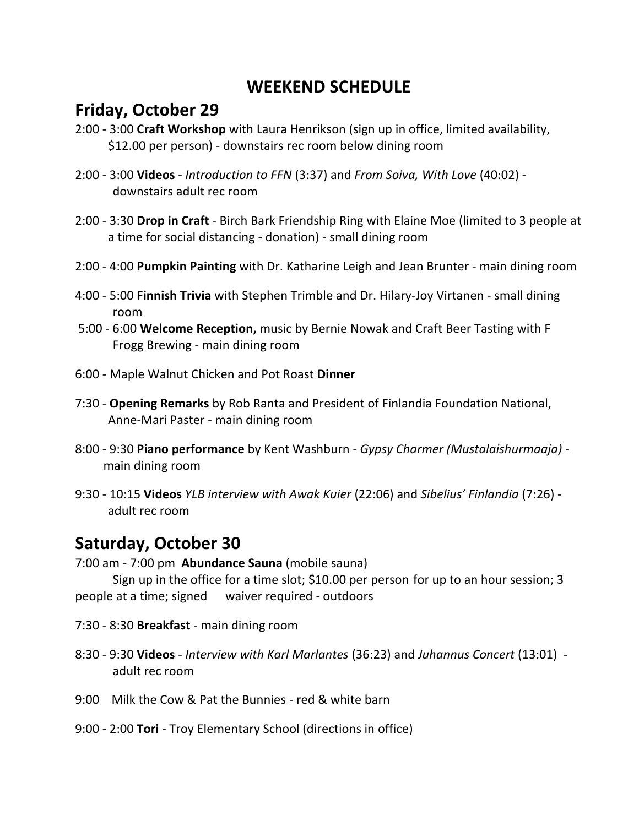## **WEEKEND SCHEDULE**

## **Friday, October 29**

- 2:00 3:00 **Craft Workshop** with Laura Henrikson (sign up in office, limited availability, \$12.00 per person) - downstairs rec room below dining room
- 2:00 3:00 **Videos** *Introduction to FFN* (3:37) and *From Soiva, With Love* (40:02) downstairs adult rec room
- 2:00 3:30 **Drop in Craft** Birch Bark Friendship Ring with Elaine Moe (limited to 3 people at a time for social distancing - donation) - small dining room
- 2:00 4:00 **Pumpkin Painting** with Dr. Katharine Leigh and Jean Brunter main dining room
- 4:00 5:00 **Finnish Trivia** with Stephen Trimble and Dr. Hilary-Joy Virtanen small dining room
- 5:00 6:00 **Welcome Reception,** music by Bernie Nowak and Craft Beer Tasting with F Frogg Brewing - main dining room
- 6:00 Maple Walnut Chicken and Pot Roast **Dinner**
- 7:30 **Opening Remarks** by Rob Ranta and President of Finlandia Foundation National, Anne-Mari Paster - main dining room
- 8:00 9:30 **Piano performance** by Kent Washburn *Gypsy Charmer (Mustalaishurmaaja)* main dining room
- 9:30 10:15 **Videos** *YLB interview with Awak Kuier* (22:06) and *Sibelius' Finlandia* (7:26) adult rec room

## **Saturday, October 30**

7:00 am - 7:00 pm **Abundance Sauna** (mobile sauna)

Sign up in the office for a time slot; \$10.00 per person for up to an hour session; 3 people at a time; signed waiver required - outdoors

- 7:30 8:30 **Breakfast** main dining room
- 8:30 9:30 **Videos**  *Interview with Karl Marlantes* (36:23) and *Juhannus Concert* (13:01) adult rec room
- 9:00 Milk the Cow & Pat the Bunnies red & white barn
- 9:00 2:00 **Tori** Troy Elementary School (directions in office)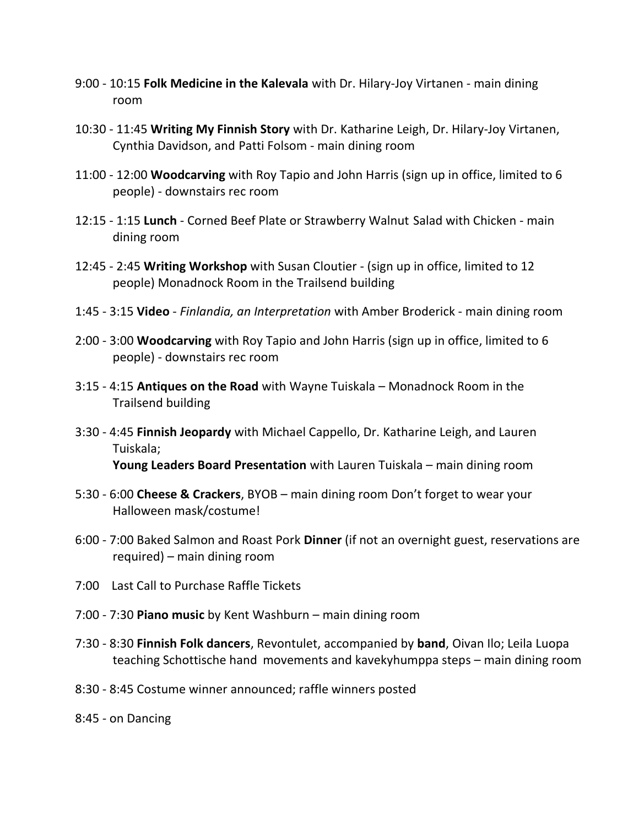- 9:00 10:15 **Folk Medicine in the Kalevala** with Dr. Hilary-Joy Virtanen main dining room
- 10:30 11:45 **Writing My Finnish Story** with Dr. Katharine Leigh, Dr. Hilary-Joy Virtanen, Cynthia Davidson, and Patti Folsom - main dining room
- 11:00 12:00 **Woodcarving** with Roy Tapio and John Harris (sign up in office, limited to 6 people) - downstairs rec room
- 12:15 1:15 **Lunch** Corned Beef Plate or Strawberry Walnut Salad with Chicken main dining room
- 12:45 2:45 **Writing Workshop** with Susan Cloutier (sign up in office, limited to 12 people) Monadnock Room in the Trailsend building
- 1:45 3:15 **Video**  *Finlandia, an Interpretation* with Amber Broderick main dining room
- 2:00 3:00 **Woodcarving** with Roy Tapio and John Harris (sign up in office, limited to 6 people) - downstairs rec room
- 3:15 4:15 **Antiques on the Road** with Wayne Tuiskala Monadnock Room in the Trailsend building
- 3:30 4:45 **Finnish Jeopardy** with Michael Cappello, Dr. Katharine Leigh, and Lauren Tuiskala; **Young Leaders Board Presentation** with Lauren Tuiskala – main dining room
- 5:30 6:00 **Cheese & Crackers**, BYOB main dining room Don't forget to wear your Halloween mask/costume!
- 6:00 7:00 Baked Salmon and Roast Pork **Dinner** (if not an overnight guest, reservations are required) – main dining room
- 7:00 Last Call to Purchase Raffle Tickets
- 7:00 7:30 **Piano music** by Kent Washburn main dining room
- 7:30 8:30 **Finnish Folk dancers**, Revontulet, accompanied by **band**, Oivan Ilo; Leila Luopa teaching Schottische hand movements and kavekyhumppa steps – main dining room
- 8:30 8:45 Costume winner announced; raffle winners posted
- 8:45 on Dancing